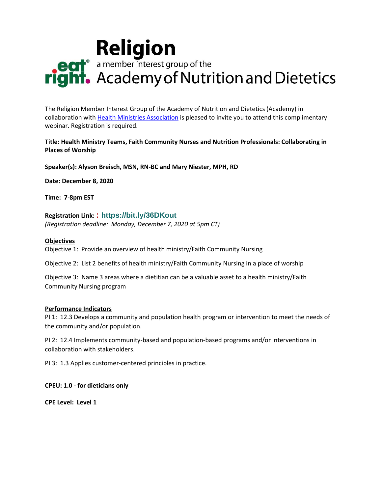# **Religion**<br> **Religion**<br> **Religion**<br> **Religion**<br> **Religion**<br> *Religion*<br> *Religion*<br> *Religion*<br> *Religion*<br> *Religion*<br> *Religion*

The Religion Member Interest Group of the Academy of Nutrition and Dietetics (Academy) in collaboration with [Health Ministries Association](https://hmassoc.org/) is pleased to invite you to attend this complimentary webinar. Registration is required.

## **Title: Health Ministry Teams, Faith Community Nurses and Nutrition Professionals: Collaborating in Places of Worship**

**Speaker(s): Alyson Breisch, MSN, RN-BC and Mary Niester, MPH, RD**

**Date: December 8, 2020** 

**Time: 7-8pm EST** 

# **Registration Link: : [https://bit.ly/36DKout](http://lahidan.informz.net/z/cjUucD9taT0zMTQ0MjQ0JnA9MSZ1PTQxMTE4MDk1MyZsaT0yNjYxNTk0NA/index.html)**

*(Registration deadline: Monday, December 7, 2020 at 5pm CT)*

#### **Objectives**

Objective 1: Provide an overview of health ministry/Faith Community Nursing

Objective 2: List 2 benefits of health ministry/Faith Community Nursing in a place of worship

Objective 3: Name 3 areas where a dietitian can be a valuable asset to a health ministry/Faith Community Nursing program

#### **Performance Indicators**

PI 1: 12.3 Develops a community and population health program or intervention to meet the needs of the community and/or population.

PI 2: 12.4 Implements community-based and population-based programs and/or interventions in collaboration with stakeholders.

PI 3: 1.3 Applies customer-centered principles in practice.

**CPEU: 1.0 - for dieticians only**

**CPE Level: Level 1**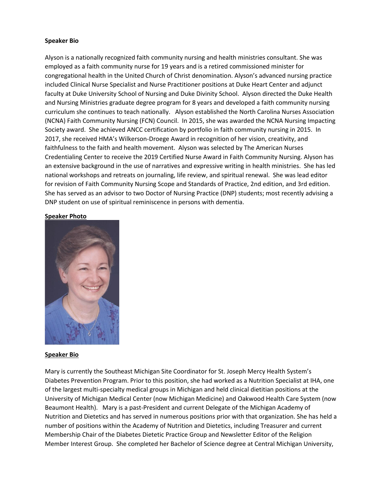#### **Speaker Bio**

Alyson is a nationally recognized faith community nursing and health ministries consultant. She was employed as a faith community nurse for 19 years and is a retired commissioned minister for congregational health in the United Church of Christ denomination. Alyson's advanced nursing practice included Clinical Nurse Specialist and Nurse Practitioner positions at Duke Heart Center and adjunct faculty at Duke University School of Nursing and Duke Divinity School. Alyson directed the Duke Health and Nursing Ministries graduate degree program for 8 years and developed a faith community nursing curriculum she continues to teach nationally. Alyson established the North Carolina Nurses Association (NCNA) Faith Community Nursing (FCN) Council. In 2015, she was awarded the NCNA Nursing Impacting Society award. She achieved ANCC certification by portfolio in faith community nursing in 2015. In 2017, she received HMA's Wilkerson-Droege Award in recognition of her vision, creativity, and faithfulness to the faith and health movement. Alyson was selected by The American Nurses Credentialing Center to receive the 2019 Certified Nurse Award in Faith Community Nursing. Alyson has an extensive background in the use of narratives and expressive writing in health ministries. She has led national workshops and retreats on journaling, life review, and spiritual renewal. She was lead editor for revision of Faith Community Nursing Scope and Standards of Practice, 2nd edition, and 3rd edition. She has served as an advisor to two Doctor of Nursing Practice (DNP) students; most recently advising a DNP student on use of spiritual reminiscence in persons with dementia.

#### **Speaker Photo**



#### **Speaker Bio**

Mary is currently the Southeast Michigan Site Coordinator for St. Joseph Mercy Health System's Diabetes Prevention Program. Prior to this position, she had worked as a Nutrition Specialist at IHA, one of the largest multi-specialty medical groups in Michigan and held clinical dietitian positions at the University of Michigan Medical Center (now Michigan Medicine) and Oakwood Health Care System (now Beaumont Health). Mary is a past-President and current Delegate of the Michigan Academy of Nutrition and Dietetics and has served in numerous positions prior with that organization. She has held a number of positions within the Academy of Nutrition and Dietetics, including Treasurer and current Membership Chair of the Diabetes Dietetic Practice Group and Newsletter Editor of the Religion Member Interest Group. She completed her Bachelor of Science degree at Central Michigan University,